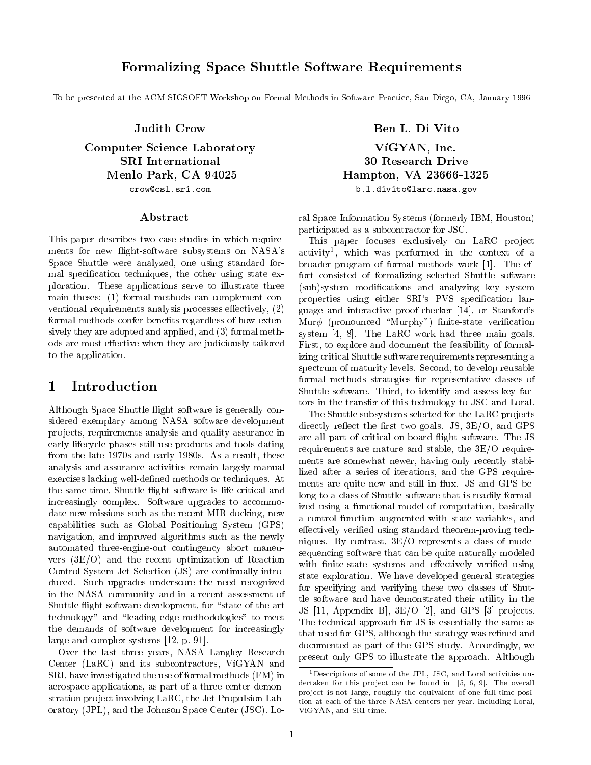## Formalizing Space Shuttle Software Requirements

To be presented at the ACM SIGSOFT Workshop on Formal Methods in Software Practice, San Diego, CA, January 1996

Judith Crow

Computer Science Laboratory SRI International Menlo Park, CA 94025 crow@csl.sri.com

#### Abstract

This paper describes two case studies in which requirements for new flight-software subsystems on NASA's Space Shuttle were analyzed, one using standard formal specication techniques, the other using state exploration. These applications serve to illustrate three main theses: (1) formal methods can complement con ventional requirements analysis processes effectively,  $(2)$ formal methods confer benefits regardless of how extensively they are adopted and applied, and (3) formal methods are most effective when they are judiciously tailored to the application.

# 1 Introduction

Although Space Shuttle flight software is generally considered exemplary among NASA software development pro jects, requirements analysis and quality assurance in early lifecycle phases still use products and tools dating from the late 1970s and early 1980s. As a result, these analysis and assurance activities remain largely manual exercises lacking well-defined methods or techniques. At the same time, Shuttle flight software is life-critical and increasingly complex. Software upgrades to accommodate new missions such as the recent MIR docking, new capabilities such as Global Positioning System (GPS) navigation, and improved algorithms such as the newly automated three-engine-out contingency abort maneu vers (3E/O) and the recent optimization of Reaction Control System Jet Selection (JS) are continually introduced. Such upgrades underscore the need recognized in the NASA community and in a recent assessment of Shuttle flight software development, for "state-of-the-art technology" and \leading-edge methodologies" to meet the demands of software development for increasingly large and complex systems [12, p. 91].

Over the last three years, NASA Langley Research Center (LaRC) and its subcontractors, VíGYAN and SRI, have investigated the use of formal methods (FM) in aerospace applications, as part of a three-center demonstration pro ject involving LaRC, the Jet Propulsion Laboratory (JPL), and the Johnson Space Center (JSC). Lo-

Ben L. Di Vito VíGYAN, Inc. 30 Research Drive Hampton, VA 23666-1325 b.l.divito@larc.nasa.gov

ral Space Information Systems (formerly IBM, Houston) participated as a subcontractor for JSC.

This paper focuses exclusively on LaRC project activity<sup>1</sup> , which was performed in the context of a broader program of formal methods work [1]. The effort consisted of formalizing selected Shuttle software (sub)system modications and analyzing key system properties using either SRI's PVS specification language and interactive proof-checker [14], or Stanford's  $\text{Mur}\phi$  (pronounced "Murphy") finite-state verification system [4, 8]. The LaRC work had three main goals. First, to explore and document the feasibility of formalizing critical Shuttle software requirements representing a spectrum of maturity levels. Second, to develop reusable formal methods strategies for representative classes of Shuttle software. Third, to identify and assess key factors in the transfer of this technology to JSC and Loral.

The Shuttle subsystems selected for the LaRC projects directly reflect the first two goals. JS,  $3E/O$ , and GPS are all part of critical on-board 
ight software. The JS requirements are mature and stable, the 3E/O requirements are somewhat newer, having only recently stabilized after a series of iterations, and the GPS requirements are quite new and still in flux. JS and GPS belong to a class of Shuttle software that is readily formalized using a functional model of computation, basically a control function augmented with state variables, and effectively verified using standard theorem-proving techniques. By contrast, 3E/O represents a class of modesequencing software that can be quite naturally modeled with finite-state systems and effectively verified using state exploration. We have developed general strategies for specifying and verifying these two classes of Shuttle software and have demonstrated their utility in the JS  $[11,$  Appendix B,  $3E/O$   $[2]$ , and GPS  $[3]$  projects. The technical approach for JS is essentially the same as that used for GPS, although the strategy was refined and documented as part of the GPS study. Accordingly, we present only GPS to illustrate the approach. Although

 $1$ Descriptions of some of the JPL, JSC, and Loral activities undertaken for this project can be found in  $[5, 6, 9]$ . The overall project is not large, roughly the equivalent of one full-time position at each of the three NASA centers per year, including Loral, VGYAN, and SRI time.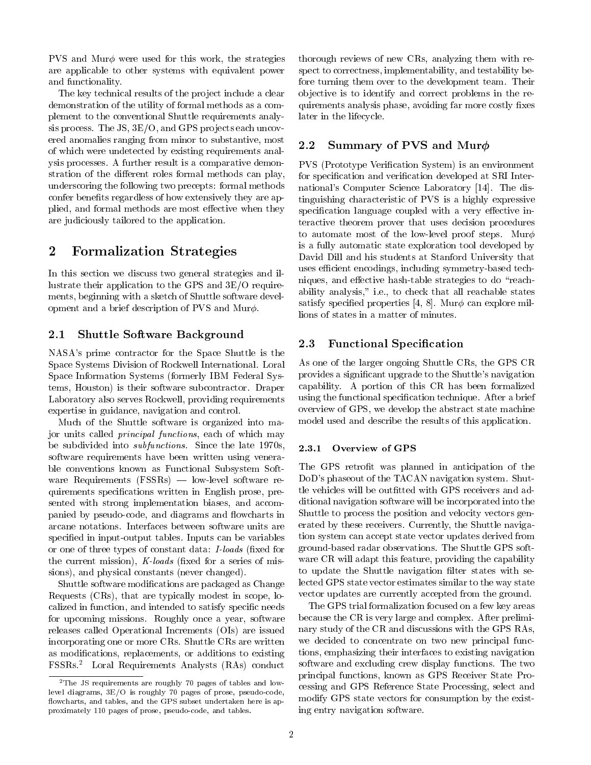PVS and Mur $\phi$  were used for this work, the strategies are applicable to other systems with equivalent power and functionality.

The key technical results of the project include a clear demonstration of the utility of formal methods as a complement to the conventional Shuttle requirements analysis process. The JS,  $3E/O$ , and GPS projects each uncovered anomalies ranging from minor to substantive, most 2.2 of which were undetected by existing requirements analysis processes. A further result is a comparative demonstration of the different roles formal methods can play, underscoring the following two precepts: formal methods confer benefits regardless of how extensively they are applied, and formal methods are most effective when they are judiciously tailored to the application.

# 2 Formalization Strategies

In this section we discuss two general strategies and illustrate their application to the GPS and 3E/O requirements, beginning with a sketch of Shuttle software development and a brief description of PVS and Mur $\phi$ .

### 2.1 Shuttle Software Background

NASA's prime contractor for the Space Shuttle is the Space Systems Division of Rockwell International. Loral Space Information Systems (formerly IBM Federal Systems, Houston) is their software subcontractor. Draper Laboratory also serves Rockwell, providing requirements expertise in guidance, navigation and control.

Much of the Shuttle software is organized into major units called principal functions, each of which may be subdivided into *subfunctions*. Since the late  $1970s$ , 2.3.1 software requirements have been written using venerable conventions known as Functional Subsystem Soft ware Requirements  $(FSSRs)$  — low-level software requirements specications written in English prose, presented with strong implementation biases, and accompanied by pseudo-code, and diagrams and flowcharts in arcane notations. Interfaces between software units are specied in input-output tables. Inputs can be variables or one of three types of constant data: *I-loads* (fixed for the current mission),  $K$ -loads (fixed for a series of missions), and physical constants (never changed).

Shuttle software modications are packaged as Change Requests (CRs), that are typically modest in scope, localized in function, and intended to satisfy specific needs for upcoming missions. Roughly once a year, software releases called Operational Increments (OIs) are issued incorporating one or more CRs. Shuttle CRs are written as modications, replacements, or additions to existing FSSRs.<sup>2</sup> Loral Requirements Analysts (RAs) conduct

thorough reviews of new CRs, analyzing them with respect to correctness, implementability, and testability before turning them over to the development team. Their ob jective is to identify and correct problems in the requirements analysis phase, avoiding far more costly fixes later in the lifecycle.

## Summary of PVS and Mur $\phi$

PVS (Prototype Verification System) is an environment for specification and verification developed at SRI International's Computer Science Laboratory [14]. The distinguishing characteristic of PVS isa highly expressive specification language coupled with a very effective interactive theorem prover that uses decision procedures to automate most of the low-level proof steps. Mur $\phi$ is a fully automatic state exploration tool developed by David Dill and his students at Stanford University that uses efficient encodings, including symmetry-based techniques, and effective hash-table strategies to do "reachability analysis," i.e., to check that all reachable states satisfy specified properties [4, 8]. Mur $\phi$  can explore millions of states in a matter of minutes.

### 2.3 Functional Specification

As one of the larger ongoing Shuttle CRs, the GPS CR provides a signicant upgrade to the Shuttle's navigation capability. A portion of this CR has been formalized using the functional specification technique. After a brief overview of GPS, we develop the abstract state machine model used and describe the results of this application.

#### Overview of GPS

The GPS retrofit was planned in anticipation of the DoD's phaseout of the TACAN navigation system. Shuttle vehicles will be outfitted with GPS receivers and additional navigation software will be incorporated into the Shuttle to process the position and velocity vectors generated by these receivers. Currently, the Shuttle navigation system can accept state vector updates derived from ground-based radar observations. The Shuttle GPS soft ware CR will adapt this feature, providing the capability to update the Shuttle navigation filter states with selected GPS state vector estimates similar to the way state vector updates are currently accepted from the ground.

The GPS trial formalization focused on a few key areas because the CR is very large and complex. After preliminary study of the CR and discussions with the GPS RAs, we decided to concentrate on two new principal functions, emphasizing their interfaces to existing navigation software and excluding crew display functions. The two principal functions, known as GPS Receiver State Processing and GPS Reference State Processing, select and modify GPS state vectors for consumption by the existing entry navigation software.

 $2$ The JS requirements are roughly 70 pages of tables and lowlevel diagrams, 3E/O is roughly 70 pages of prose, pseudo-code, flowcharts, and tables, and the GPS subset undertaken here is approximately 110 pages of prose, pseudo-code, and tables.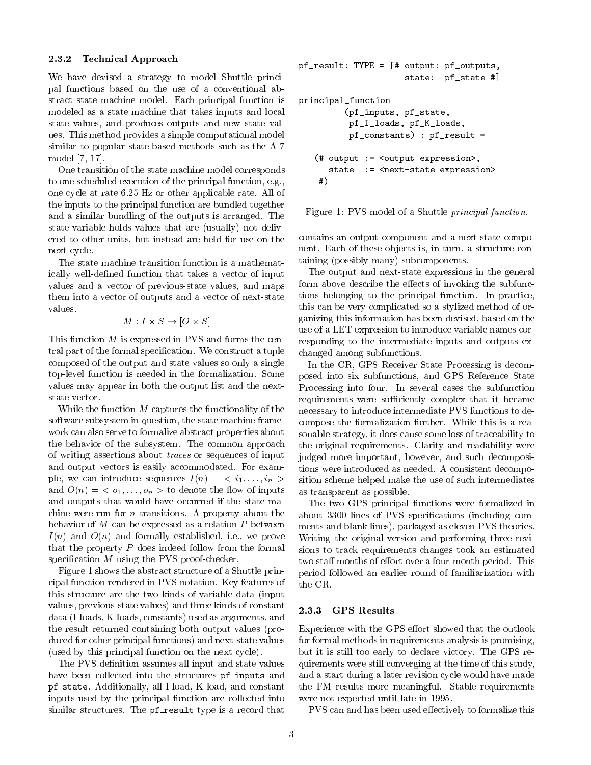#### 2.3.2 Technical Approach

We have devised a strategy to model Shuttle principal functions based on the use of a conventional abstract state machine model. Each principal function is modeled as a state machine that takes inputs and local state values, and produces outputs and new state values. This method provides a simple computational model similar to popular state-based methods such as the A-7 model [7, 17].

One transition of the state machine model corresponds to one scheduled execution of the principal function, e.g., one cycle at rate 6.25 Hz or other applicable rate. All of the inputs to the principal function are bundled together and a similar bundling of the outputs is arranged. The state variable holds values that are (usually) not delivered to other units, but instead are held for use on the next cycle.

The state machine transition function is a mathematically well-defined function that takes a vector of input values and a vector of previous-state values, and maps them into a vector of outputs and a vector of next-state values.

$$
M: I \times S \to [O \times S]
$$

This function  $M$  is expressed in PVS and forms the central part of the formal specification. We construct a tuple composed of the output and state values so only a single top-level function is needed in the formalization. Some values may appear in both the output list and the nextstate vector.

While the function  $M$  captures the functionality of the software subsystem in question, the state machine frame work can also serve to formalize abstract properties about the behavior of the subsystem. The common approach of writing assertions about traces or sequences of input and output vectors is easily accommodated. For example, we can introduce sequences  $I(n) = \langle i_1, \ldots, i_n \rangle$ and  $O(n) = \langle o_1, \ldots, o_n \rangle$  to denote the flow of inputs and outputs that would have occurred if the state machine were run for *n* transitions. A property about the behavior of  $M$  can be expressed as a relation  $P$  between  $I(n)$  and  $O(n)$  and formally established, i.e., we prove that the property  $P$  does indeed follow from the formal specification  $M$  using the PVS proof-checker.

Figure 1 shows the abstract structure of a Shuttle principal function rendered in PVS notation. Key features of this structure are the two kinds of variable data (input values, previous-state values) and three kinds of constant data (I-loads, K-loads, constants) used as arguments, and the result returned containing both output values (produced for other principal functions) and next-state values (used by this principal function on the next cycle).

The PVS definition assumes all input and state values have been collected into the structures pf\_inputs and pf state. Additionally, all I-load, K-load, and constant inputs used by the principal function are collected into similar structures. The pf\_result type is a record that

```
pf_result: TYPE = [# output: pf_outputs,
                     state: pf_state #]
principal_function
         (pf_inputs, pf_state,
          pf_I_loads, pf_K_loads,
          pf_constants) : pf_result =
   (# output := <output expression>,
      state := < next-state expression>
    #)
    #)
```
Figure 1: PVS model of a Shuttle principal function.

contains an output component and a next-state component. Each of these objects is, in turn, a structure containing (possibly many) subcomponents.

The output and next-state expressions in the general form above describe the effects of invoking the subfunctions belonging to the principal function. In practice, this can be very complicated so a stylized method of organizing this information has been devised, based on the use of a LET expression to introduce variable names corresponding to the intermediate inputs and outputs exchanged among subfunctions.

In the CR, GPS Receiver State Processing is decomposed into six subfunctions, and GPS Reference State Processing into four. In several cases the subfunction requirements were sufficiently complex that it became necessary to introduce intermediate PVS functions to decompose the formalization further. While this is a reasonable strategy, it does cause some loss of traceability to the original requirements. Clarity and readability were judged more important, however, and such decompositions were introduced as needed. A consistent decomposition scheme helped make the use of such intermediates as transparent as possible.

The two GPS principal functions were formalized in about 3300 lines of PVS specications (including comments and blank lines), packaged as eleven PVS theories. Writing the original version and performing three revisions to track requirements changes took an estimated two staff months of effort over a four-month period. This period followed an earlier round of familiarization with the CR.

#### 2.3.3 GPS Results

Experience with the GPS effort showed that the outlook for formal methods in requirements analysis is promising, but it is still too early to declare victory. The GPS requirements were still converging at the time of this study, and a start during a later revision cycle would have made the FM results more meaningful. Stable requirements were not expected until late in 1995.

PVS can and has been used effectively to formalize this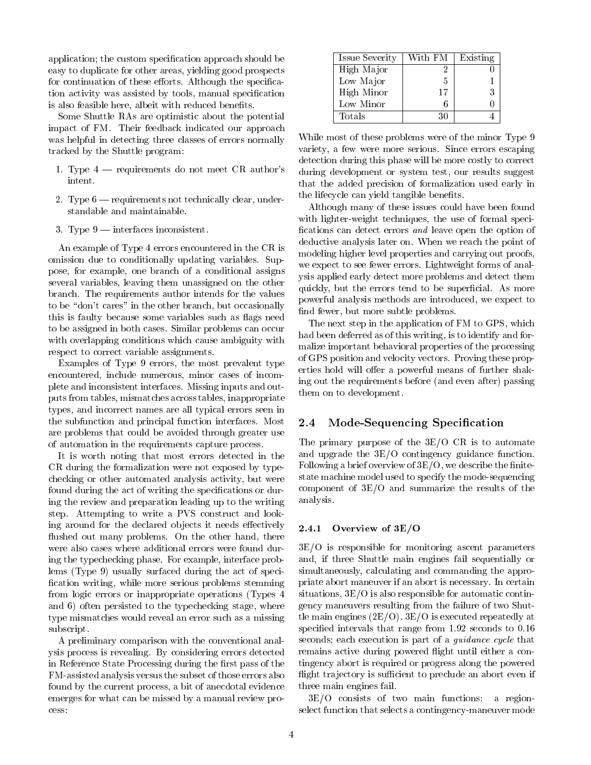application; the custom specification approach should be easy to duplicate for other areas, yielding good prospects for continuation of these efforts. Although the specification activity was assisted by tools, manual specication is also feasible here, albeit with reduced benefits.

Some Shuttle RAs are optimistic about the potential impact of FM. Their feedback indicated our approach was helpful in detecting three classes of errors normally tracked by the Shuttle program:

- 1. Type  $4$  requirements do not meet CR author's intent.
- 2. Type  $6$  requirements not technically clear, understandable and maintainable.
- 3. Type  $9$  interfaces inconsistent.

An example of Type 4 errors encountered in the CR is omission due to conditionally updating variables. Suppose, for example, one branch of a conditional assigns several variables, leaving them unassigned on the other branch. The requirements author intends for the values to be "don't cares" in the other branch, but occasionally this is faulty because some variables such as flags need to be assigned in both cases. Similar problems can occur with overlapping conditions which cause ambiguity with respect to correct variable assignments.

Examples of Type 9 errors, the most prevalent type encountered, include numerous, minor cases of incomplete and inconsistent interfaces. Missing inputs and outputs from tables, mismatches across tables, inappropriate types, and incorrect names are all typical errors seen in the subfunction and principal function interfaces. Most 2.4 are problems that could be avoided through greater use of automation in the requirements capture process.

It is worth noting that most errors detected in the CR during the formalization were not exposed by typechecking or other automated analysis activity, but were found during the act of writing the specifications or during the review and preparation leading up to the writing step. Attempting to write a PVS construct and looking around for the declared objects it needs effectively  $2.4.1$ flushed out many problems. On the other hand, there were also cases where additional errors were found during the typechecking phase. For example, interface problems (Type 9) usually surfaced during the act of speci fication writing, while more serious problems stemming from logic errors or inappropriate operations (Types 4 and 6) often persisted to the typechecking stage, where type mismatches would reveal an error such as a missing subscript.

A preliminary comparison with the conventional analysis process is revealing. By considering errors detected in Reference State Processing during the first pass of the FM-assisted analysis versus the subset of those errors also found by the current process, a bit of anecdotal evidence emerges for what can be missed by a manual review process:

| <b>Issue Severity</b> | With FM | Existing |
|-----------------------|---------|----------|
| High Major            |         |          |
| Low Major             | 5       |          |
| High Minor            | 17      |          |
| Low Minor             |         |          |
| Totals                | 30      |          |

While most of these problems were of the minor Type 9 variety, a few were more serious. Since errors escaping detection during this phase will be more costly to correct during development or system test, our results suggest that the added precision of formalization used early in the lifecycle can yield tangible benefits.

Although many of these issues could have been found with lighter-weight techniques, the use of formal speci fications can detect errors  $and$  leave open the option of deductive analysis later on. When we reach the point of modeling higher level properties and carrying out proofs, we expect to see fewer errors. Lightweight forms of analysis applied early detect more problems and detect them quickly, but the errors tend to be superficial. As more powerful analysis methods are introduced, we expect to find fewer, but more subtle problems.

The next step in the application of FM to GPS, which had been deferred as of this writing, is to identify and formalize important behavioral properties of the processing of GPS position and velocity vectors. Proving these properties hold will offer a powerful means of further shaking out the requirements before (and even after) passing them on to development.

#### Mode-Sequencing Specification

The primary purpose of the 3E/O CR is to automate and upgrade the 3E/O contingency guidance function. Following a brief overview of  $3E/O$ , we describe the finitestate machine model used to specify the mode-sequencing component of 3E/O and summarize the results of the analysis.

#### Overview of  $3E/O$

3E/O is responsible for monitoring ascent parameters and, if three Shuttle main engines fail sequentially or simultaneously, calculating and commanding the appropriate abort maneuver if an abort is necessary. In certain situations, 3E/O is also responsible for automatic contingency maneuvers resulting from the failure of two Shuttle main engines (2E/O). 3E/O is executed repeatedly at specified intervals that range from 1.92 seconds to 0.16 seconds; each execution is part of a *guidance cycle* that remains active during powered flight until either a contingency abort is required or progress along the powered flight trajectory is sufficient to preclude an abort even if three main engines fail.

3E/O consists of two main functions: a regionselect function that selects a contingency-maneuver mode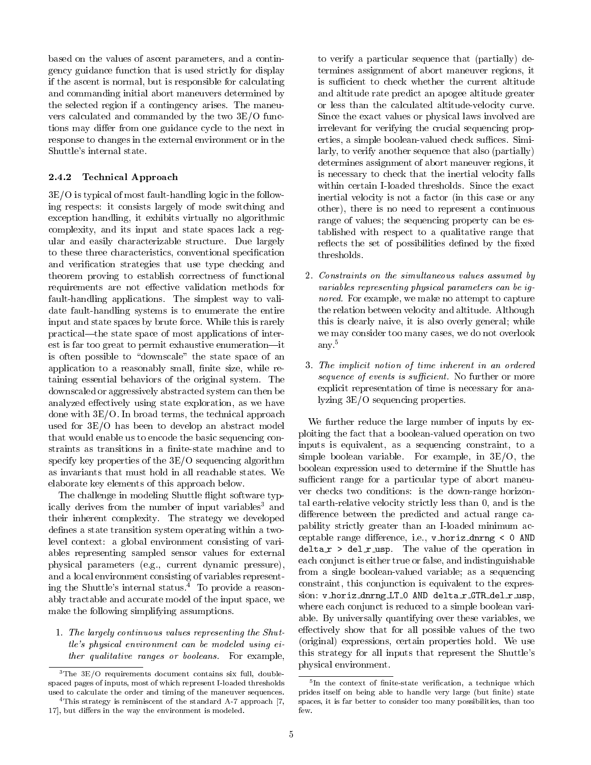based on the values of ascent parameters, and a contingency guidance function that is used strictly for display if the ascent is normal, but is responsible for calculating and commanding initial abort maneuvers determined by the selected region if a contingency arises. The maneu vers calculated and commanded by the two 3E/O functions may differ from one guidance cycle to the next in response to changes in the external environment or in the Shuttle's internal state.

#### 2.4.2 Technical Approach

3E/O is typical of most fault-handling logic in the following respects: it consists largely of mode switching and exception handling, it exhibits virtually no algorithmic complexity, and its input and state spaces lack a regular and easily characterizable structure. Due largely to these three characteristics, conventional specification and verication strategies that use type checking and theorem proving to establish correctness of functional requirements are not effective validation methods for fault-handling applications. The simplest way to validate fault-handling systems is to enumerate the entire input and state spaces by brute force. While this is rarely practical—the state space of most applications of interest is far too great to permit exhaustive enumeration-it is often possible to "downscale" the state space of an application to a reasonably small, finite size, while retaining essential behaviors of the original system. The downscaled or aggressively abstracted system can then be analyzed effectively using state exploration, as we have done with 3E/O. In broad terms, the technical approach used for 3E/O has been to develop an abstract model that would enable us to encode the basic sequencing constraints as transitions in a finite-state machine and to specify key properties of the 3E/O sequencing algorithm as invariants that must hold in all reachable states. We elaborate key elements of this approach below.

The challenge in modeling Shuttle flight software typically derives from the number of input variables<sup>3</sup> and their inherent complexity. The strategy we developed defines a state transition system operating within a twolevel context: a global environment consisting of variables representing sampled sensor values for external physical parameters (e.g., current dynamic pressure), and a local environment consisting of variables representing the Shuttle's internal status.4 To provide a reasonably tractable and accurate model of the input space, we make the following simplifying assumptions.

1. The largely continuous values representing the Shuttle's physical environment can be modeled using either qualitative ranges or booleans. For example,

to verify a particular sequence that (partially) determines assignment of abort maneuver regions, it is sufficient to check whether the current altitude and altitude rate predict an apogee altitude greater or less than the calculated altitude-velocity curve. Since the exact values or physical laws involved are irrelevant for verifying the crucial sequencing properties, a simple boolean-valued check suffices. Similarly, to verify another sequence that also (partially) determines assignment of abort maneuver regions, it is necessary to check that the inertial velocity falls within certain I-loaded thresholds. Since the exact inertial velocity is not a factor (in this case or any other), there is no need to represent a continuous range of values; the sequencing property can be established with respect to a qualitative range that reflects the set of possibilities defined by the fixed thresholds.

- 2. Constraints on the simultaneous values assumed by variables representing physical parameters can be ignored. For example, we make no attempt to capture the relation between velocity and altitude. Although this is clearly naive, it is also overly general; while we may consider too many cases, we do not overlook any.5
- 3. The implicit notion of time inherent in an ordered sequence of events is sufficient. No further or more explicit representation of time is necessary for analyzing 3E/O sequencing properties.

We further reduce the large number of inputs by exploiting the fact that a boolean-valued operation on two inputs is equivalent, as a sequencing constraint, to a simple boolean variable. For example, in 3E/O, the boolean expression used to determine if the Shuttle has sufficient range for a particular type of abort maneuver checks two conditions: is the down-range horizontal earth-relative velocity strictly less than 0, and is the difference between the predicted and actual range capability strictly greater than an I-loaded minimum acceptable range difference, i.e.,  $v$  horiz dnrng < 0 AND  $delta_r$  >  $del_r$  usp. The value of the operation in each conjunct is either true or false, and indistinguishable from a single boolean-valued variable; as a sequencing constraint, this conjunction is equivalent to the expression: v\_horiz\_dnrng\_LT\_0 AND delta\_r\_GTR\_del\_r\_usp, where each conjunct is reduced to a simple boolean variable. By universally quantifying over these variables, we effectively show that for all possible values of the two (original) expressions, certain properties hold. We use this strategy for all inputs that represent the Shuttle's physical environment.

 $3$ The  $3E/O$  requirements document contains six full, doublespaced pages of inputs, most of which represent I-loaded thresholds used to calculate the order and timing of the maneuver sequences.

<sup>4</sup>This strategy is reminiscent of the standard A-7 approach [7, 17], but differs in the way the environment is modeled.

<sup>5</sup> In the context of nite-state verication, a technique which prides itself on being able to handle very large (but finite) state spaces, it is far better to consider too many possibilities, than too few.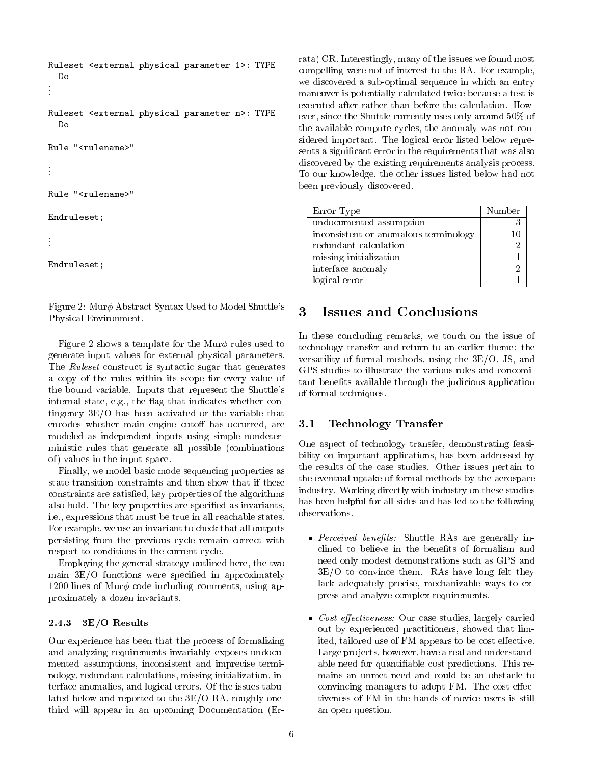```
Ruleset <external physical parameter 1>: TYPE
.Ruleset <external physical parameter n>: TYPE
  Do
Rule "<rulename>"
.Rule "<rulename>"
Endruleset;
```

```
.Endruleset;
```
Figure 2: Mur $\phi$  Abstract Syntax Used to Model Shuttle's 3 Physical Environment.

Figure 2 shows a template for the Mur $\phi$  rules used to generate input values for external physical parameters. The *Ruleset* construct is syntactic sugar that generates a copy of the rules within its scope for every value of the bound variable. Inputs that represent the Shuttle's internal state, e.g., the flag that indicates whether contingency 3E/O has been activated or the variable that encodes whether main engine cutoff has occurred, are  $3.1$ modeled as independent inputs using simple nondeterministic rules that generate all possible (combinations of ) values in the input space.

Finally, we model basic mode sequencing properties as state transition constraints and then show that if these constraints are satised, key properties of the algorithms also hold. The key properties are specified as invariants, i.e., expressions that must be true in all reachable states. For example, we use an invariant to check that all outputs persisting from the previous cycle remain correct with  $\bullet$  Perceived benefits: Shuttle RAs are generally in-<br>clined to believe in the benefits of formalism and respect to conditions in the current cycle.

Employing the general strategy outlined here, the two main  $3E/O$  functions were specified in approximately 1200 lines of Mur $\phi$  code including comments, using approximately a dozen invariants.

#### 2.4.3 3E/O Results

Our experience has been that the process of formalizing and analyzing requirements invariably exposes undocumented assumptions, inconsistent and imprecise terminology, redundant calculations, missing initialization, interface anomalies, and logical errors. Of the issues tabulated below and reported to the 3E/O RA, roughly onethird willappear in an upcoming Documentation (Errata) CR. Interestingly, many of the issues we found most compelling were not of interest to the RA. For example, we discovered a sub-optimal sequence in which an entry maneuver is potentially calculated twice because a test is executed after rather than before the calculation. How ever, since the Shuttle currently uses only around 50% of the available compute cycles, the anomaly was not considered important. The logical error listed below represents a signicant error in the requirements that was also discovered by the existing requirements analysis process. To our knowledge, the other issues listed below had not been previously discovered.

| Error Type                            | Number |
|---------------------------------------|--------|
| undocumented assumption               |        |
| inconsistent or anomalous terminology |        |
| redundant calculation                 |        |
| missing initialization                |        |
| interface anomaly                     |        |
| logical error                         |        |

In these concluding remarks, we touch on the issue of technology transfer and return to an earlier theme: the versatility of formal methods, using the 3E/O, JS, and GPS studies to illustrate the various roles and concomitant benets available through the judicious application of formal techniques.

# 3.1 Technology Transfer

One aspect of technology transfer, demonstrating feasibility on important applications, has been addressed by the results of the case studies. Other issues pertain to the eventual uptake of formal methods by the aerospace industry. Working directly with industry on these studies has been helpful for all sides and has led to the following observations.

- Perceived benefits: Shuttle RAs are generally inneed only modest demonstrations such as GPS and 3E/O to convince them. RAs have long felt they lack adequately precise, mechanizable ways to express and analyze complex requirements.
- Cost effectiveness: Our case studies, largely carried out by experienced practitioners, showed that limited, tailored use of FM appears to be cost effective. Large projects, however, have a real and understandable need for quantiable cost predictions. This remains an unmet need and could be an obstacle to convincing managers to adopt FM. The cost effectiveness of FM in the hands of novice users is still an open question.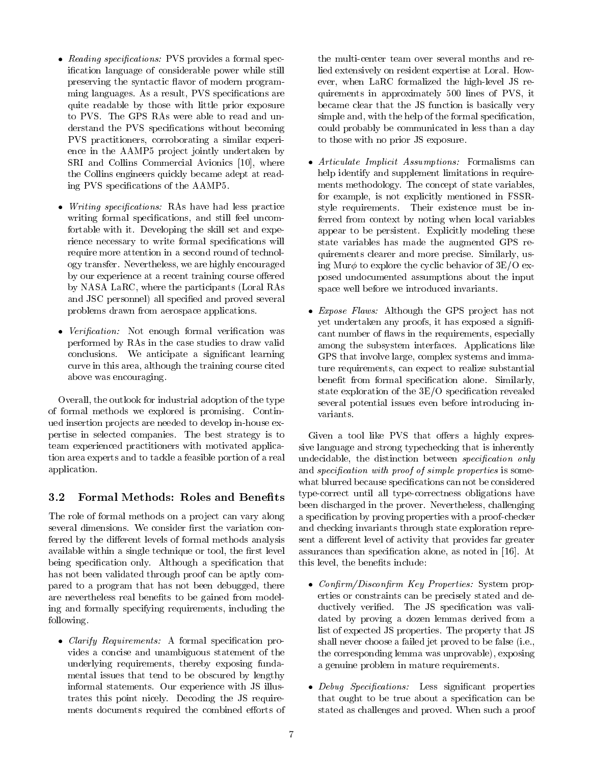- Reading specifications: PVS provides a formal specication language of considerable power while still preserving the syntactic flavor of modern programming languages. As a result, PVS specifications are quite readable by those with little prior exposure to PVS. The GPS RAs were able to read and understand the PVS specifications without becoming PVS practitioners, corroborating a similar experience in the AAMP5 project jointly undertaken by SRI and Collins Commercial Avionics [10], where the Collins engineers quickly became adept at reading PVS specications of the AAMP5.
- *Writing specifications:* RAs have had less practice writing formal specifications, and still feel uncomfortable with it. Developing the skill set and experience necessary to write formal specifications will require more attention in a second round of technology transfer. Nevertheless, we are highly encouraged by our experience at a recent training course offered by NASA LaRC, where the participants (Loral RAs and JSC personnel) all specied and proved several problems drawn from aerospace applications.
- Verification: Not enough formal verification was performed by RAs in the case studies to draw valid conclusions. We anticipate a signicant learning curve in this area, although the training course cited above was encouraging.

Overall, the outlook for industrial adoption of the type of formal methods we explored is promising. Continued insertion pro jects are needed to develop in-house expertise in selected companies. The best strategy is to team experienced practitioners with motivated application area experts and to tackle a feasible portion of a real application.

## 3.2 Formal Methods: Roles and Benefits

The role of formal methods on a project can vary along several dimensions. We consider first the variation conferred by the different levels of formal methods analysis available within a single technique or tool, the first level being specification only. Although a specification that has not been validated through proof can be aptly compared to a program that has not been debugged, there are nevertheless real benefits to be gained from modeling and formally specifying requirements, including the following.

• *Clarify Requirements:* A formal specification provides a concise and unambiguous statement of the underlying requirements, thereby exposing fundamental issues that tend to be obscured by lengthy informal statements. Our experience with JS illustrates this point nicely. Decoding the JS requirements documents required the combined efforts of the multi-center team over several months and relied extensively on resident expertise at Loral. How ever, when LaRC formalized the high-level JS requirements in approximately 500 lines of PVS, it became clear that the JS function is basically very simple and, with the help of the formal specification, could probably be communicated in less than a day to those with no prior JS exposure.

- Articulate Implicit Assumptions: Formalisms can help identify and supplement limitations in requirements methodology. The concept of state variables, for example, is not explicitly mentioned in FSSRstyle requirements. Their existence must be inferred from context by noting when local variables appear to be persistent. Explicitly modeling these state variables has made the augmented GPS requirements clearer and more precise. Similarly, using Mur $\phi$  to explore the cyclic behavior of 3E/O exposed undocumented assumptions about the input space well before we introduced invariants.
- *Expose Flaws:* Although the GPS project has not yet undertaken any proofs, it has exposed a significant number of flaws in the requirements, especially among the subsystem interfaces. Applications like GPS that involve large, complex systems and immature requirements, can expect to realize substantial benefit from formal specification alone. Similarly, state exploration of the  $3E/O$  specification revealed several potential issues even before introducing in variants.

Given a tool like PVS that offers a highly expressive language and strong typechecking that is inherently undecidable, the distinction between *specification* only and *specification with proof of simple properties* is somewhat blurred because specifications can not be considered type-correct until all type-correctness obligations have been discharged in the prover. Nevertheless, challenging a specication by proving properties with a proof-checker and checking invariants through state exploration represent a different level of activity that provides far greater assurances than specication alone, as noted in [16]. At this level, the benefits include:

- Confirm/Disconfirm Key Properties: System properties or constraints can be precisely stated and deductively verified. The JS specification was validated by proving a dozen lemmas derived from a list of expected JS properties. The property that JS shall never choose a failed jet proved to be false (i.e., the corresponding lemma was unprovable), exposing a genuine problem in mature requirements.
- Debug Specifications: Less significant properties that ought to be true about a specication can be stated as challenges and proved. When such a proof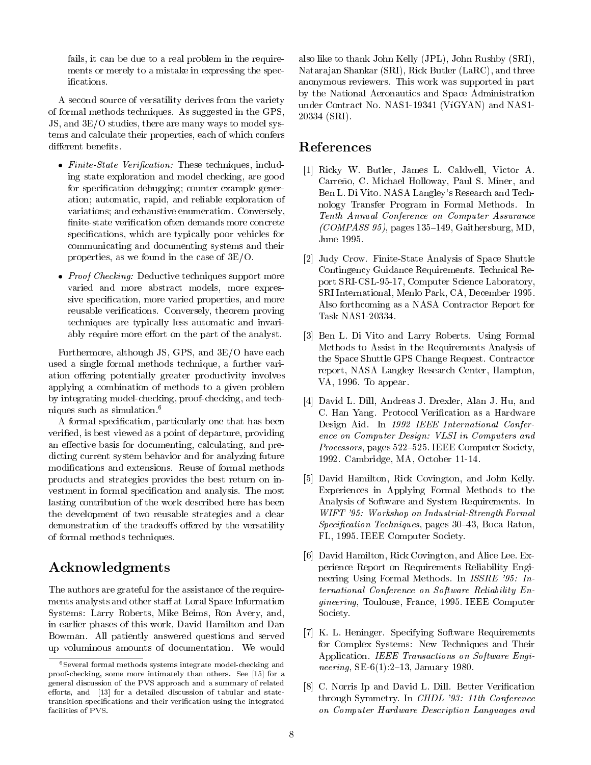fails, it can be due to a real problem in the requirements or merely to a mistake in expressing the specifications.

A second source of versatility derives from the variety of formal methods techniques. As suggested in the GPS, JS, and 3E/O studies, there are many ways to model systems and calculate their properties, each of which confers different benefits.

- Finite-State Verification: These techniques, including state exploration and model checking, are good for specification debugging; counter example generation; automatic, rapid, and reliable exploration of variations; and exhaustive enumeration. Conversely, finite-state verification often demands more concrete specifications, which are typically poor vehicles for communicating and documenting systems and their properties, as we found in the case of 3E/O.
- Proof Checking: Deductive techniques support more varied and more abstract models, more expressive specification, more varied properties, and more reusable verications. Conversely, theorem proving techniques are typically less automatic and invariably require more effort on the part of the analyst.

Furthermore, although JS, GPS, and 3E/O have each used a single formal methods technique, a further variation offering potentially greater productivity involves applying a combination of methods to a given problem by integrating model-checking, proof-checking, and techniques such as simulation.<sup>6</sup>

A formal specication, particularly one that has been veried, is best viewed as a point of departure, providing an effective basis for documenting, calculating, and predicting current system behavior and for analyzing future modications and extensions. Reuse of formal methods products and strategies provides the best return on in-vestment in formal specication and analysis. The most lasting contribution of the work described here has been the development of two reusable strategies and a clear demonstration of the tradeoffs offered by the versatility of formal methods techniques.

# Acknowledgments

The authors are grateful for the assistance of the requirements analysts and other staff at Loral Space Information Systems: Larry Roberts, Mike Beims, Ron Avery, and, in earlier phases of this work, David Hamilton and Dan Bowman. All patiently answered questions and served up voluminous amounts of documentation. We would

also like to thank John Kelly (JPL), John Rushby (SRI), Natara jan Shankar (SRI), Rick Butler (LaRC), and three anonymous reviewers. This work was supported in part by the National Aeronautics and Space Administration under Contract No. NAS1-19341 (VíGYAN) and NAS1-20334 (SRI).

# References

- [1] Ricky W.Butler, James L. Caldwell, Victor A. Carreño, C. Michael Holloway, Paul S. Miner, and Ben L. Di Vito. NASA Langley's Research and Technology Transfer Program in Formal Methods. In Tenth Annual Conference on Computer Assurance  $(COMPASS 95)$ , pages 135-149, Gaithersburg, MD, June 1995.
- [2] Judy Crow. Finite-State Analysis of Space Shuttle Contingency Guidance Requirements. Technical Report SRI-CSL-95-17, Computer Science Laboratory, SRI International, Menlo Park, CA, December 1995. Also forthcoming as a NASA Contractor Report for Task NAS1-20334.
- [3] Ben L. Di Vito and Larry Roberts. Using Formal Methods to Assist in the Requirements Analysis of the Space Shuttle GPS Change Request. Contractor report, NASA Langley Research Center, Hampton, VA, 1996. To appear.
- [4] David L. Dill, Andreas J. Drexler, Alan J. Hu, and C. Han Yang. Protocol Verication as a Hardware Design Aid. In 1992 IEEE International Conference on Computer Design: VLSI in Computers and Processors, pages 522–525. IEEE Computer Society, 1992. Cambridge, MA, October 11-14.
- [5] David Hamilton, Rick Covington, and John Kelly. Experiences in Applying Formal Methods to the Analysis of Software and System Requirements. In WIFT '95: Workshop on Industrial-Strength Formal  $Specification\ Techniques, pages\ 30–43, Boca Raton,$ FL, 1995. IEEE Computer Society.
- [6] David Hamilton, Rick Covington, and Alice Lee. Experience Report on Requirements Reliability Engineering Using Formal Methods. In ISSRE '95: International Conference on Software Reliability Engineering, Toulouse, France, 1995. IEEE Computer Society.
- [7] K. L. Heninger. Specifying Software Requirements for Complex Systems: New Techniques and Their Application. IEEE Transactions on Software Engineering, SE-6(1):2-13, January 1980.
- [8] C. Norris Ip and David L. Dill. Better Verification through Symmetry. In CHDL '93: 11th Conference on Computer Hardware Description Languages and

<sup>6</sup>Several formal methods systems integrate model-checking and proof-checking, some more intimately than others. See [15] for a general discussion of the PVS approach and a summary of related efforts, and  $[13]$  for a detailed discussion of tabular and statetransition specifications and their verification using the integrated facilities of PVS.